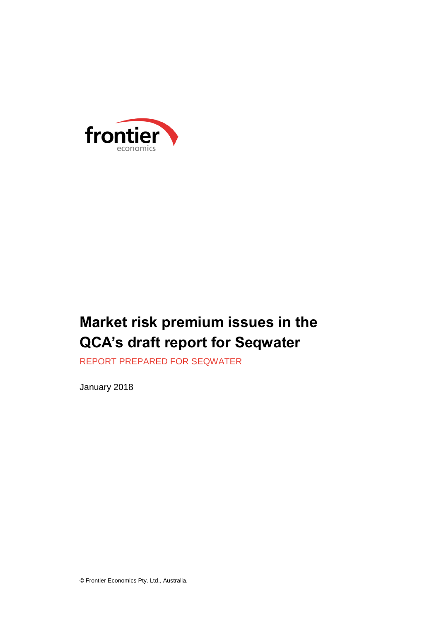

# **Market risk premium issues in the QCA's draft report for Seqwater**

REPORT PREPARED FOR SEQWATER

January 2018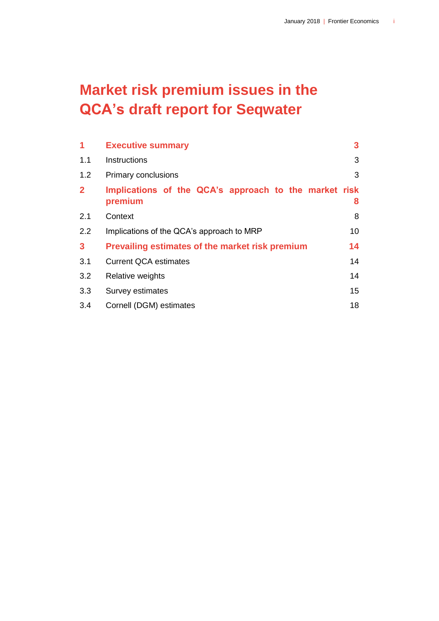# **Market risk premium issues in the QCA's draft report for Seqwater**

| 1            | <b>Executive summary</b>                                         | 3                |  |  |
|--------------|------------------------------------------------------------------|------------------|--|--|
| 1.1          | Instructions                                                     | 3                |  |  |
| 1.2          | Primary conclusions                                              | 3                |  |  |
| $\mathbf{2}$ | Implications of the QCA's approach to the market risk<br>premium | 8                |  |  |
| 2.1          | Context                                                          | 8                |  |  |
| 2.2          | Implications of the QCA's approach to MRP                        |                  |  |  |
| $\mathbf{3}$ | 14<br><b>Prevailing estimates of the market risk premium</b>     |                  |  |  |
| 3.1          | <b>Current QCA estimates</b>                                     | 14               |  |  |
| 3.2          | Relative weights                                                 | 14               |  |  |
| 3.3          | Survey estimates                                                 | 15 <sub>15</sub> |  |  |
| 3.4          | Cornell (DGM) estimates                                          | 18               |  |  |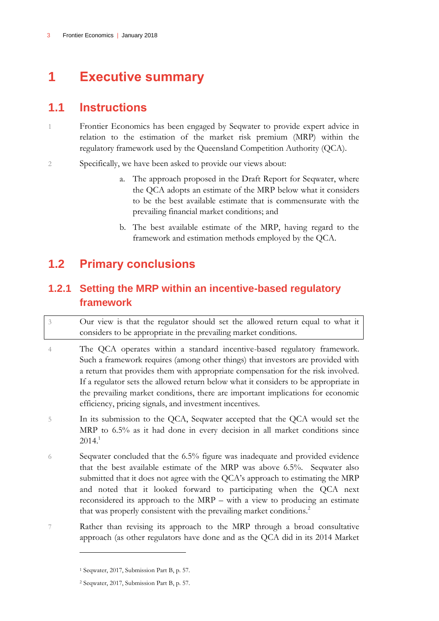## <span id="page-4-0"></span>**1 Executive summary**

### <span id="page-4-1"></span>**1.1 Instructions**

1 Frontier Economics has been engaged by Seqwater to provide expert advice in relation to the estimation of the market risk premium (MRP) within the regulatory framework used by the Queensland Competition Authority (QCA).

- 2 Specifically, we have been asked to provide our views about:
	- a. The approach proposed in the Draft Report for Seqwater, where the QCA adopts an estimate of the MRP below what it considers to be the best available estimate that is commensurate with the prevailing financial market conditions; and
	- b. The best available estimate of the MRP, having regard to the framework and estimation methods employed by the QCA.

### <span id="page-4-2"></span>**1.2 Primary conclusions**

### **1.2.1 Setting the MRP within an incentive-based regulatory framework**

3 Our view is that the regulator should set the allowed return equal to what it considers to be appropriate in the prevailing market conditions.

- 4 The QCA operates within a standard incentive-based regulatory framework. Such a framework requires (among other things) that investors are provided with a return that provides them with appropriate compensation for the risk involved. If a regulator sets the allowed return below what it considers to be appropriate in the prevailing market conditions, there are important implications for economic efficiency, pricing signals, and investment incentives.
- 5 In its submission to the QCA, Seqwater accepted that the QCA would set the MRP to 6.5% as it had done in every decision in all market conditions since  $2014.<sup>1</sup>$
- 6 Seqwater concluded that the 6.5% figure was inadequate and provided evidence that the best available estimate of the MRP was above 6.5%. Seqwater also submitted that it does not agree with the QCA's approach to estimating the MRP and noted that it looked forward to participating when the QCA next reconsidered its approach to the MRP – with a view to producing an estimate that was properly consistent with the prevailing market conditions.<sup>2</sup>
- 7 Rather than revising its approach to the MRP through a broad consultative approach (as other regulators have done and as the QCA did in its 2014 Market

<sup>1</sup> Seqwater, 2017, Submission Part B, p. 57.

<sup>2</sup> Seqwater, 2017, Submission Part B, p. 57.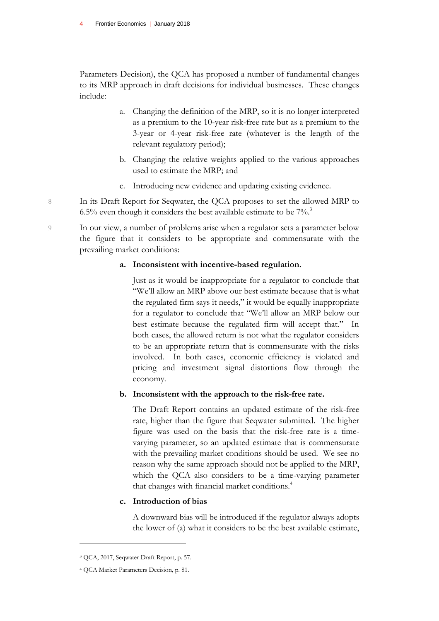Parameters Decision), the QCA has proposed a number of fundamental changes to its MRP approach in draft decisions for individual businesses. These changes include:

- a. Changing the definition of the MRP, so it is no longer interpreted as a premium to the 10-year risk-free rate but as a premium to the 3-year or 4-year risk-free rate (whatever is the length of the relevant regulatory period);
- b. Changing the relative weights applied to the various approaches used to estimate the MRP; and
- c. Introducing new evidence and updating existing evidence.
- 8 In its Draft Report for Seqwater, the QCA proposes to set the allowed MRP to 6.5% even though it considers the best available estimate to be  $7\%$ .

9 In our view, a number of problems arise when a regulator sets a parameter below the figure that it considers to be appropriate and commensurate with the prevailing market conditions:

### **a. Inconsistent with incentive-based regulation.**

Just as it would be inappropriate for a regulator to conclude that "We'll allow an MRP above our best estimate because that is what the regulated firm says it needs," it would be equally inappropriate for a regulator to conclude that "We'll allow an MRP below our best estimate because the regulated firm will accept that." In both cases, the allowed return is not what the regulator considers to be an appropriate return that is commensurate with the risks involved. In both cases, economic efficiency is violated and pricing and investment signal distortions flow through the economy.

### **b. Inconsistent with the approach to the risk-free rate.**

The Draft Report contains an updated estimate of the risk-free rate, higher than the figure that Seqwater submitted. The higher figure was used on the basis that the risk-free rate is a timevarying parameter, so an updated estimate that is commensurate with the prevailing market conditions should be used. We see no reason why the same approach should not be applied to the MRP, which the QCA also considers to be a time-varying parameter that changes with financial market conditions.<sup>4</sup>

### **c. Introduction of bias**

A downward bias will be introduced if the regulator always adopts the lower of (a) what it considers to be the best available estimate,

<sup>3</sup> QCA, 2017, Seqwater Draft Report, p. 57.

<sup>4</sup> QCA Market Parameters Decision, p. 81.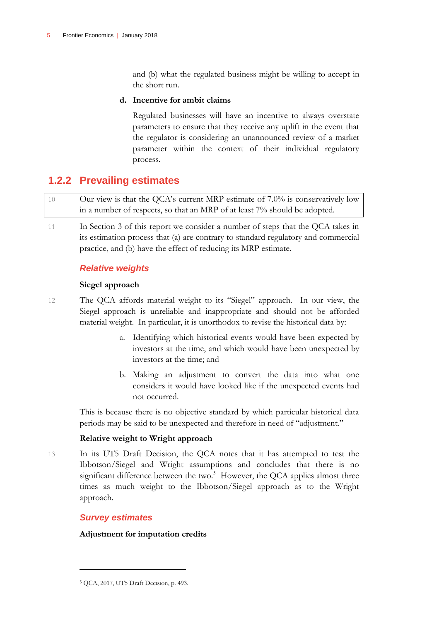and (b) what the regulated business might be willing to accept in the short run.

### **d. Incentive for ambit claims**

Regulated businesses will have an incentive to always overstate parameters to ensure that they receive any uplift in the event that the regulator is considering an unannounced review of a market parameter within the context of their individual regulatory process.

### **1.2.2 Prevailing estimates**

10 Our view is that the QCA's current MRP estimate of 7.0% is conservatively low in a number of respects, so that an MRP of at least 7% should be adopted.

11 In Section 3 of this report we consider a number of steps that the QCA takes in its estimation process that (a) are contrary to standard regulatory and commercial practice, and (b) have the effect of reducing its MRP estimate.

### *Relative weights*

### **Siegel approach**

- 12 The QCA affords material weight to its "Siegel" approach. In our view, the Siegel approach is unreliable and inappropriate and should not be afforded material weight. In particular, it is unorthodox to revise the historical data by:
	- a. Identifying which historical events would have been expected by investors at the time, and which would have been unexpected by investors at the time; and
	- b. Making an adjustment to convert the data into what one considers it would have looked like if the unexpected events had not occurred.

This is because there is no objective standard by which particular historical data periods may be said to be unexpected and therefore in need of "adjustment."

### **Relative weight to Wright approach**

13 In its UT5 Draft Decision, the QCA notes that it has attempted to test the Ibbotson/Siegel and Wright assumptions and concludes that there is no significant difference between the two. $5$  However, the QCA applies almost three times as much weight to the Ibbotson/Siegel approach as to the Wright approach.

### *Survey estimates*

 $\overline{a}$ 

### **Adjustment for imputation credits**

<sup>5</sup> QCA, 2017, UT5 Draft Decision, p. 493.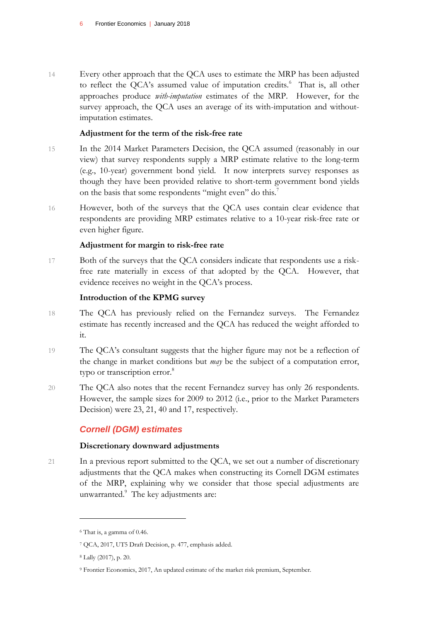14 Every other approach that the QCA uses to estimate the MRP has been adjusted to reflect the QCA's assumed value of imputation credits. $6$  That is, all other approaches produce *with-imputation* estimates of the MRP. However, for the survey approach, the QCA uses an average of its with-imputation and withoutimputation estimates.

### **Adjustment for the term of the risk-free rate**

- 15 In the 2014 Market Parameters Decision, the QCA assumed (reasonably in our view) that survey respondents supply a MRP estimate relative to the long-term (e.g., 10-year) government bond yield. It now interprets survey responses as though they have been provided relative to short-term government bond yields on the basis that some respondents "might even" do this.<sup>7</sup>
- 16 However, both of the surveys that the QCA uses contain clear evidence that respondents are providing MRP estimates relative to a 10-year risk-free rate or even higher figure.

### **Adjustment for margin to risk-free rate**

17 Both of the surveys that the QCA considers indicate that respondents use a riskfree rate materially in excess of that adopted by the QCA. However, that evidence receives no weight in the QCA's process.

### **Introduction of the KPMG survey**

- 18 The QCA has previously relied on the Fernandez surveys. The Fernandez estimate has recently increased and the QCA has reduced the weight afforded to it.
- 19 The QCA's consultant suggests that the higher figure may not be a reflection of the change in market conditions but *may* be the subject of a computation error, typo or transcription error.<sup>8</sup>
- 20 The QCA also notes that the recent Fernandez survey has only 26 respondents. However, the sample sizes for 2009 to 2012 (i.e., prior to the Market Parameters Decision) were 23, 21, 40 and 17, respectively.

### *Cornell (DGM) estimates*

### **Discretionary downward adjustments**

21 In a previous report submitted to the QCA, we set out a number of discretionary adjustments that the QCA makes when constructing its Cornell DGM estimates of the MRP, explaining why we consider that those special adjustments are unwarranted.<sup>9</sup> The key adjustments are:

<sup>6</sup> That is, a gamma of 0.46.

<sup>7</sup> QCA, 2017, UT5 Draft Decision, p. 477, emphasis added.

<sup>8</sup> Lally (2017), p. 20.

<sup>9</sup> Frontier Economics, 2017, An updated estimate of the market risk premium, September.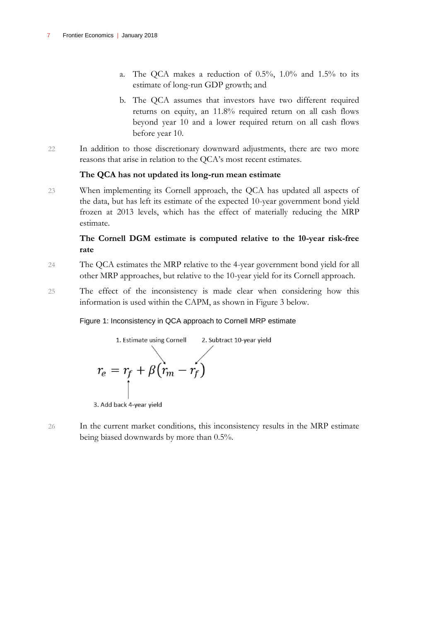- a. The QCA makes a reduction of  $0.5\%$ ,  $1.0\%$  and  $1.5\%$  to its estimate of long-run GDP growth; and
- b. The QCA assumes that investors have two different required returns on equity, an 11.8% required return on all cash flows beyond year 10 and a lower required return on all cash flows before year 10.
- 22 In addition to those discretionary downward adjustments, there are two more reasons that arise in relation to the QCA's most recent estimates.

### **The QCA has not updated its long-run mean estimate**

23 When implementing its Cornell approach, the QCA has updated all aspects of the data, but has left its estimate of the expected 10-year government bond yield frozen at 2013 levels, which has the effect of materially reducing the MRP estimate.

### **The Cornell DGM estimate is computed relative to the 10-year risk-free rate**

- 24 The QCA estimates the MRP relative to the 4-year government bond yield for all other MRP approaches, but relative to the 10-year yield for its Cornell approach.
- 25 The effect of the inconsistency is made clear when considering how this information is used within the CAPM, as shown in Figure 3 below.

### Figure 1: Inconsistency in QCA approach to Cornell MRP estimate



26 In the current market conditions, this inconsistency results in the MRP estimate being biased downwards by more than 0.5%.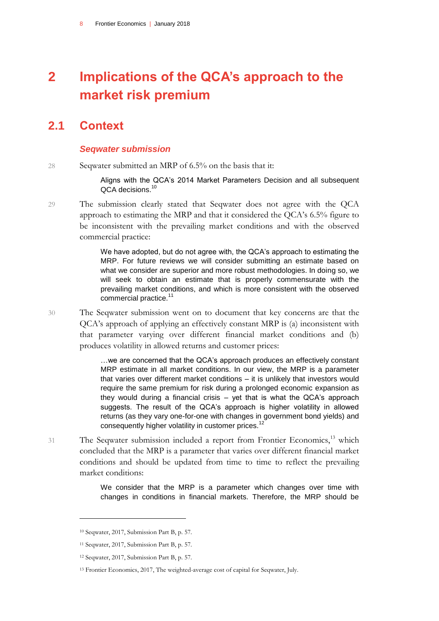## <span id="page-9-0"></span>**2 Implications of the QCA's approach to the market risk premium**

### **2.1 Context**

#### <span id="page-9-1"></span>*Seqwater submission*

28 Seqwater submitted an MRP of 6.5% on the basis that it:

Aligns with the QCA's 2014 Market Parameters Decision and all subsequent QCA decisions.<sup>10</sup>

29 The submission clearly stated that Seqwater does not agree with the QCA approach to estimating the MRP and that it considered the QCA's 6.5% figure to be inconsistent with the prevailing market conditions and with the observed commercial practice:

> We have adopted, but do not agree with, the QCA's approach to estimating the MRP. For future reviews we will consider submitting an estimate based on what we consider are superior and more robust methodologies. In doing so, we will seek to obtain an estimate that is properly commensurate with the prevailing market conditions, and which is more consistent with the observed commercial practice.<sup>11</sup>

30 The Seqwater submission went on to document that key concerns are that the QCA's approach of applying an effectively constant MRP is (a) inconsistent with that parameter varying over different financial market conditions and (b) produces volatility in allowed returns and customer prices:

> …we are concerned that the QCA's approach produces an effectively constant MRP estimate in all market conditions. In our view, the MRP is a parameter that varies over different market conditions – it is unlikely that investors would require the same premium for risk during a prolonged economic expansion as they would during a financial crisis – yet that is what the QCA's approach suggests. The result of the QCA's approach is higher volatility in allowed returns (as they vary one-for-one with changes in government bond yields) and consequently higher volatility in customer prices.<sup>12</sup>

31 The Seqwater submission included a report from Frontier Economics,<sup>13</sup> which concluded that the MRP is a parameter that varies over different financial market conditions and should be updated from time to time to reflect the prevailing market conditions:

> We consider that the MRP is a parameter which changes over time with changes in conditions in financial markets. Therefore, the MRP should be

<sup>10</sup> Seqwater, 2017, Submission Part B, p. 57.

<sup>11</sup> Seqwater, 2017, Submission Part B, p. 57.

<sup>12</sup> Seqwater, 2017, Submission Part B, p. 57.

<sup>13</sup> Frontier Economics, 2017, The weighted-average cost of capital for Seqwater, July.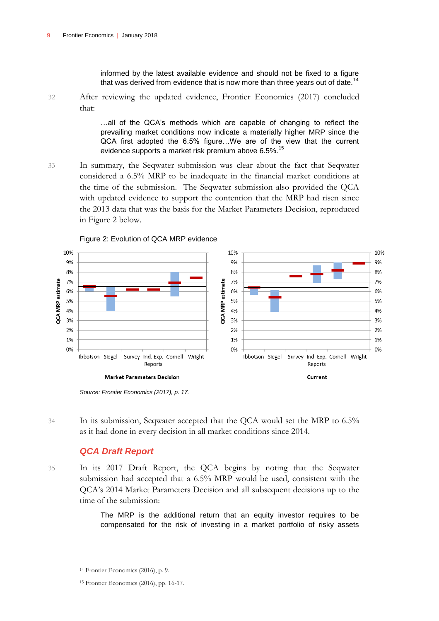informed by the latest available evidence and should not be fixed to a figure that was derived from evidence that is now more than three years out of date.<sup>14</sup>

32 After reviewing the updated evidence, Frontier Economics (2017) concluded that:

> …all of the QCA's methods which are capable of changing to reflect the prevailing market conditions now indicate a materially higher MRP since the QCA first adopted the 6.5% figure…We are of the view that the current evidence supports a market risk premium above 6.5%.<sup>15</sup>

33 In summary, the Seqwater submission was clear about the fact that Seqwater considered a 6.5% MRP to be inadequate in the financial market conditions at the time of the submission. The Seqwater submission also provided the QCA with updated evidence to support the contention that the MRP had risen since the 2013 data that was the basis for the Market Parameters Decision, reproduced in Figure 2 below.



```
Figure 2: Evolution of QCA MRP evidence
```
34 In its submission, Seqwater accepted that the QCA would set the MRP to 6.5% as it had done in every decision in all market conditions since 2014.

#### *QCA Draft Report*

35 In its 2017 Draft Report, the QCA begins by noting that the Seqwater submission had accepted that a 6.5% MRP would be used, consistent with the QCA's 2014 Market Parameters Decision and all subsequent decisions up to the time of the submission:

> The MRP is the additional return that an equity investor requires to be compensated for the risk of investing in a market portfolio of risky assets

*Source: Frontier Economics (2017), p. 17.*

<sup>14</sup> Frontier Economics (2016), p. 9.

<sup>15</sup> Frontier Economics (2016), pp. 16-17.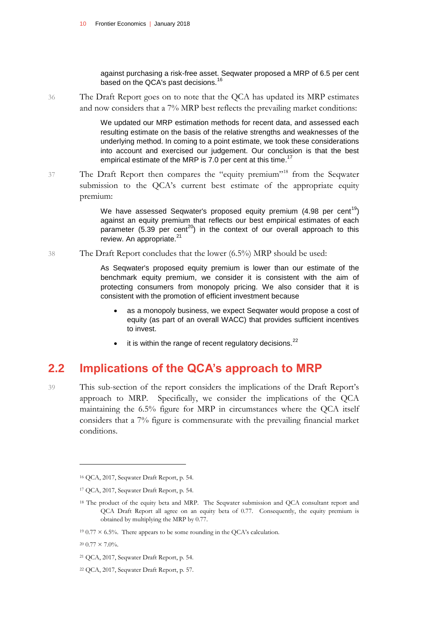against purchasing a risk-free asset. Seqwater proposed a MRP of 6.5 per cent based on the QCA's past decisions.<sup>16</sup>

36 The Draft Report goes on to note that the QCA has updated its MRP estimates and now considers that a 7% MRP best reflects the prevailing market conditions:

> We updated our MRP estimation methods for recent data, and assessed each resulting estimate on the basis of the relative strengths and weaknesses of the underlying method. In coming to a point estimate, we took these considerations into account and exercised our judgement. Our conclusion is that the best empirical estimate of the MRP is 7.0 per cent at this time.<sup>17</sup>

37 The Draft Report then compares the "equity premium"<sup>18</sup> from the Seqwater submission to the QCA's current best estimate of the appropriate equity premium:

> We have assessed Seqwater's proposed equity premium  $(4.98 \text{ per cent}^{19})$ against an equity premium that reflects our best empirical estimates of each parameter (5.39 per cent<sup>20</sup>) in the context of our overall approach to this review. An appropriate. $21$

38 The Draft Report concludes that the lower (6.5%) MRP should be used:

As Seqwater's proposed equity premium is lower than our estimate of the benchmark equity premium, we consider it is consistent with the aim of protecting consumers from monopoly pricing. We also consider that it is consistent with the promotion of efficient investment because

- as a monopoly business, we expect Seqwater would propose a cost of equity (as part of an overall WACC) that provides sufficient incentives to invest.
- $\bullet$  it is within the range of recent regulatory decisions.<sup>22</sup>

### <span id="page-11-0"></span>**2.2 Implications of the QCA's approach to MRP**

39 This sub-section of the report considers the implications of the Draft Report's approach to MRP. Specifically, we consider the implications of the QCA maintaining the 6.5% figure for MRP in circumstances where the QCA itself considers that a 7% figure is commensurate with the prevailing financial market conditions.

<sup>16</sup> QCA, 2017, Seqwater Draft Report, p. 54.

<sup>17</sup> QCA, 2017, Seqwater Draft Report, p. 54.

<sup>&</sup>lt;sup>18</sup> The product of the equity beta and MRP. The Seqwater submission and QCA consultant report and QCA Draft Report all agree on an equity beta of 0.77. Consequently, the equity premium is obtained by multiplying the MRP by 0.77.

<sup>&</sup>lt;sup>19</sup> 0.77  $\times$  6.5%. There appears to be some rounding in the QCA's calculation.

 $20\;0.77\times7.0\%$ .

<sup>21</sup> QCA, 2017, Seqwater Draft Report, p. 54.

<sup>22</sup> QCA, 2017, Seqwater Draft Report, p. 57.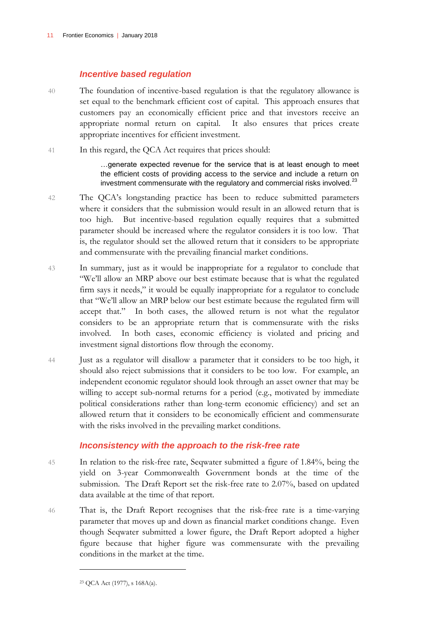### *Incentive based regulation*

- 40 The foundation of incentive-based regulation is that the regulatory allowance is set equal to the benchmark efficient cost of capital. This approach ensures that customers pay an economically efficient price and that investors receive an appropriate normal return on capital. It also ensures that prices create appropriate incentives for efficient investment.
- 41 In this regard, the QCA Act requires that prices should:

…generate expected revenue for the service that is at least enough to meet the efficient costs of providing access to the service and include a return on investment commensurate with the regulatory and commercial risks involved. $^{23}$ 

- 42 The QCA's longstanding practice has been to reduce submitted parameters where it considers that the submission would result in an allowed return that is too high. But incentive-based regulation equally requires that a submitted parameter should be increased where the regulator considers it is too low. That is, the regulator should set the allowed return that it considers to be appropriate and commensurate with the prevailing financial market conditions.
- 43 In summary, just as it would be inappropriate for a regulator to conclude that "We'll allow an MRP above our best estimate because that is what the regulated firm says it needs," it would be equally inappropriate for a regulator to conclude that "We'll allow an MRP below our best estimate because the regulated firm will accept that." In both cases, the allowed return is not what the regulator considers to be an appropriate return that is commensurate with the risks involved. In both cases, economic efficiency is violated and pricing and investment signal distortions flow through the economy.
- 44 Just as a regulator will disallow a parameter that it considers to be too high, it should also reject submissions that it considers to be too low. For example, an independent economic regulator should look through an asset owner that may be willing to accept sub-normal returns for a period (e.g., motivated by immediate political considerations rather than long-term economic efficiency) and set an allowed return that it considers to be economically efficient and commensurate with the risks involved in the prevailing market conditions.

### *Inconsistency with the approach to the risk-free rate*

- 45 In relation to the risk-free rate, Seqwater submitted a figure of 1.84%, being the yield on 3-year Commonwealth Government bonds at the time of the submission. The Draft Report set the risk-free rate to 2.07%, based on updated data available at the time of that report.
- 46 That is, the Draft Report recognises that the risk-free rate is a time-varying parameter that moves up and down as financial market conditions change. Even though Seqwater submitted a lower figure, the Draft Report adopted a higher figure because that higher figure was commensurate with the prevailing conditions in the market at the time.

<sup>23</sup> QCA Act (1977), s 168A(a).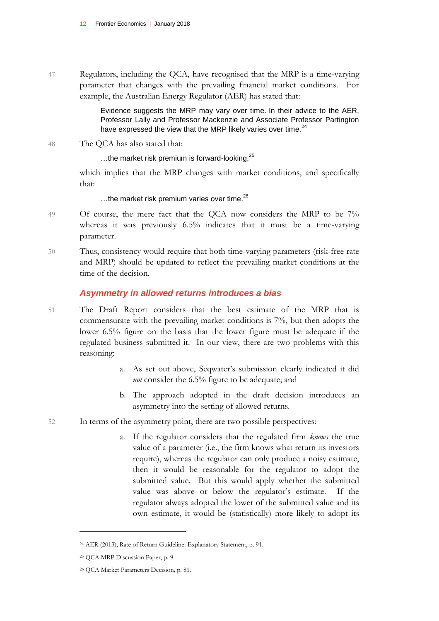47 Regulators, including the QCA, have recognised that the MRP is a time-varying parameter that changes with the prevailing financial market conditions. For example, the Australian Energy Regulator (AER) has stated that:

> Evidence suggests the MRP may vary over time. In their advice to the AER, Professor Lally and Professor Mackenzie and Associate Professor Partington have expressed the view that the MRP likely varies over time.<sup>24</sup>

48 The QCA has also stated that:

...the market risk premium is forward-looking,<sup>25</sup>

which implies that the MRP changes with market conditions, and specifically that:

...the market risk premium varies over time.<sup>26</sup>

- 49 Of course, the mere fact that the QCA now considers the MRP to be  $7\%$ whereas it was previously 6.5% indicates that it must be a time-varying parameter.
- 50 Thus, consistency would require that both time-varying parameters (risk-free rate and MRP) should be updated to reflect the prevailing market conditions at the time of the decision.

### *Asymmetry in allowed returns introduces a bias*

- 51 The Draft Report considers that the best estimate of the MRP that is commensurate with the prevailing market conditions is 7%, but then adopts the lower 6.5% figure on the basis that the lower figure must be adequate if the regulated business submitted it. In our view, there are two problems with this reasoning:
	- a. As set out above, Seqwater's submission clearly indicated it did *not* consider the 6.5% figure to be adequate; and
	- b. The approach adopted in the draft decision introduces an asymmetry into the setting of allowed returns.
- 52 In terms of the asymmetry point, there are two possible perspectives:
	- a. If the regulator considers that the regulated firm *knows* the true value of a parameter (i.e., the firm knows what return its investors require), whereas the regulator can only produce a noisy estimate, then it would be reasonable for the regulator to adopt the submitted value. But this would apply whether the submitted value was above or below the regulator's estimate. If the regulator always adopted the lower of the submitted value and its own estimate, it would be (statistically) more likely to adopt its

<sup>24</sup> AER (2013), Rate of Return Guideline: Explanatory Statement, p. 91.

<sup>25</sup> QCA MRP Discussion Paper, p. 9.

<sup>26</sup> QCA Market Parameters Decision, p. 81.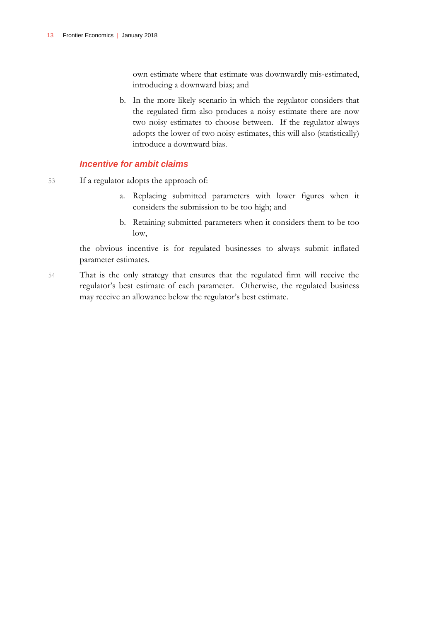own estimate where that estimate was downwardly mis-estimated, introducing a downward bias; and

b. In the more likely scenario in which the regulator considers that the regulated firm also produces a noisy estimate there are now two noisy estimates to choose between. If the regulator always adopts the lower of two noisy estimates, this will also (statistically) introduce a downward bias.

### *Incentive for ambit claims*

- 53 If a regulator adopts the approach of:
	- a. Replacing submitted parameters with lower figures when it considers the submission to be too high; and
	- b. Retaining submitted parameters when it considers them to be too low,

the obvious incentive is for regulated businesses to always submit inflated parameter estimates.

54 That is the only strategy that ensures that the regulated firm will receive the regulator's best estimate of each parameter. Otherwise, the regulated business may receive an allowance below the regulator's best estimate.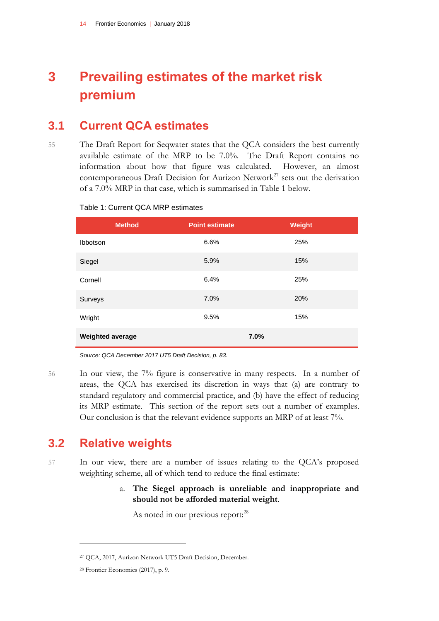## <span id="page-15-0"></span>**3 Prevailing estimates of the market risk premium**

### <span id="page-15-1"></span>**3.1 Current QCA estimates**

55 The Draft Report for Seqwater states that the QCA considers the best currently available estimate of the MRP to be 7.0%. The Draft Report contains no information about how that figure was calculated. However, an almost contemporaneous Draft Decision for Aurizon Network<sup>27</sup> sets out the derivation of a 7.0% MRP in that case, which is summarised in Table 1 below.

|                         | <b>Method</b> | <b>Point estimate</b> | Weight |
|-------------------------|---------------|-----------------------|--------|
| Ibbotson                |               | 6.6%                  | 25%    |
| Siegel                  |               | 5.9%                  | 15%    |
| Cornell                 |               | 6.4%                  | 25%    |
| Surveys                 |               | 7.0%                  | 20%    |
| Wright                  |               | 9.5%                  | 15%    |
| <b>Weighted average</b> |               |                       | 7.0%   |

### Table 1: Current QCA MRP estimates

*Source: QCA December 2017 UT5 Draft Decision, p. 83.*

56 In our view, the 7% figure is conservative in many respects. In a number of areas, the QCA has exercised its discretion in ways that (a) are contrary to standard regulatory and commercial practice, and (b) have the effect of reducing its MRP estimate. This section of the report sets out a number of examples. Our conclusion is that the relevant evidence supports an MRP of at least 7%.

### <span id="page-15-2"></span>**3.2 Relative weights**

57 In our view, there are a number of issues relating to the QCA's proposed weighting scheme, all of which tend to reduce the final estimate:

> a. **The Siegel approach is unreliable and inappropriate and should not be afforded material weight**.

As noted in our previous report:<sup>28</sup>

<sup>27</sup> QCA, 2017, Aurizon Network UT5 Draft Decision, December.

<sup>28</sup> Frontier Economics (2017), p. 9.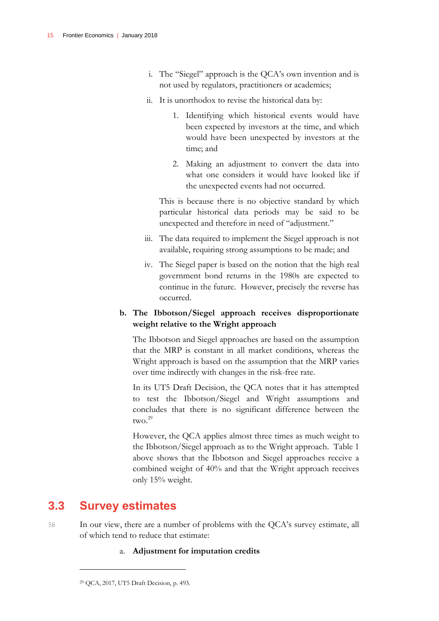- i. The "Siegel" approach is the QCA's own invention and is not used by regulators, practitioners or academics;
- ii. It is unorthodox to revise the historical data by:
	- 1. Identifying which historical events would have been expected by investors at the time, and which would have been unexpected by investors at the time; and
	- 2. Making an adjustment to convert the data into what one considers it would have looked like if the unexpected events had not occurred.

This is because there is no objective standard by which particular historical data periods may be said to be unexpected and therefore in need of "adjustment."

- iii. The data required to implement the Siegel approach is not available, requiring strong assumptions to be made; and
- iv. The Siegel paper is based on the notion that the high real government bond returns in the 1980s are expected to continue in the future. However, precisely the reverse has occurred.

### **b. The Ibbotson/Siegel approach receives disproportionate weight relative to the Wright approach**

The Ibbotson and Siegel approaches are based on the assumption that the MRP is constant in all market conditions, whereas the Wright approach is based on the assumption that the MRP varies over time indirectly with changes in the risk-free rate.

In its UT5 Draft Decision, the QCA notes that it has attempted to test the Ibbotson/Siegel and Wright assumptions and concludes that there is no significant difference between the two.<sup>29</sup>

However, the QCA applies almost three times as much weight to the Ibbotson/Siegel approach as to the Wright approach. Table 1 above shows that the Ibbotson and Siegel approaches receive a combined weight of 40% and that the Wright approach receives only 15% weight.

### <span id="page-16-0"></span>**3.3 Survey estimates**

- 58 In our view, there are a number of problems with the QCA's survey estimate, all of which tend to reduce that estimate:
	- a. **Adjustment for imputation credits**

<sup>29</sup> QCA, 2017, UT5 Draft Decision, p. 493.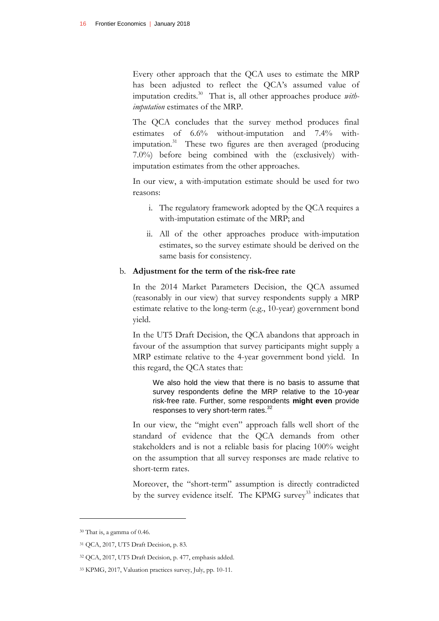Every other approach that the QCA uses to estimate the MRP has been adjusted to reflect the QCA's assumed value of imputation credits.<sup>30</sup> That is, all other approaches produce *withimputation* estimates of the MRP.

The QCA concludes that the survey method produces final estimates of 6.6% without-imputation and 7.4% withimputation.<sup>31</sup> These two figures are then averaged (producing 7.0%) before being combined with the (exclusively) withimputation estimates from the other approaches.

In our view, a with-imputation estimate should be used for two reasons:

- i. The regulatory framework adopted by the QCA requires a with-imputation estimate of the MRP; and
- ii. All of the other approaches produce with-imputation estimates, so the survey estimate should be derived on the same basis for consistency.

#### b. **Adjustment for the term of the risk-free rate**

In the 2014 Market Parameters Decision, the QCA assumed (reasonably in our view) that survey respondents supply a MRP estimate relative to the long-term (e.g., 10-year) government bond yield.

In the UT5 Draft Decision, the QCA abandons that approach in favour of the assumption that survey participants might supply a MRP estimate relative to the 4-year government bond yield. In this regard, the QCA states that:

We also hold the view that there is no basis to assume that survey respondents define the MRP relative to the 10-year risk-free rate. Further, some respondents **might even** provide responses to very short-term rates.<sup>32</sup>

In our view, the "might even" approach falls well short of the standard of evidence that the QCA demands from other stakeholders and is not a reliable basis for placing 100% weight on the assumption that all survey responses are made relative to short-term rates.

Moreover, the "short-term" assumption is directly contradicted by the survey evidence itself. The KPMG survey<sup>33</sup> indicates that

<sup>30</sup> That is, a gamma of 0.46.

<sup>31</sup> QCA, 2017, UT5 Draft Decision, p. 83.

<sup>32</sup> QCA, 2017, UT5 Draft Decision, p. 477, emphasis added.

<sup>33</sup> KPMG, 2017, Valuation practices survey, July, pp. 10-11.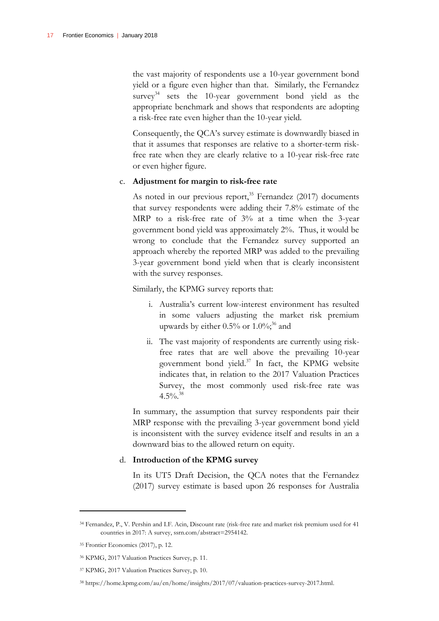the vast majority of respondents use a 10-year government bond yield or a figure even higher than that. Similarly, the Fernandez survey<sup>34</sup> sets the 10-year government bond yield as the appropriate benchmark and shows that respondents are adopting a risk-free rate even higher than the 10-year yield.

Consequently, the QCA's survey estimate is downwardly biased in that it assumes that responses are relative to a shorter-term riskfree rate when they are clearly relative to a 10-year risk-free rate or even higher figure.

#### c. **Adjustment for margin to risk-free rate**

As noted in our previous report,<sup>35</sup> Fernandez (2017) documents that survey respondents were adding their 7.8% estimate of the MRP to a risk-free rate of 3% at a time when the 3-year government bond yield was approximately 2%. Thus, it would be wrong to conclude that the Fernandez survey supported an approach whereby the reported MRP was added to the prevailing 3-year government bond yield when that is clearly inconsistent with the survey responses.

Similarly, the KPMG survey reports that:

- i. Australia's current low-interest environment has resulted in some valuers adjusting the market risk premium upwards by either  $0.5\%$  or  $1.0\%$ ;<sup>36</sup> and
- ii. The vast majority of respondents are currently using riskfree rates that are well above the prevailing 10-year government bond yield.<sup>37</sup> In fact, the KPMG website indicates that, in relation to the 2017 Valuation Practices Survey, the most commonly used risk-free rate was  $4.5\%$ <sup>38</sup>

In summary, the assumption that survey respondents pair their MRP response with the prevailing 3-year government bond yield is inconsistent with the survey evidence itself and results in an a downward bias to the allowed return on equity.

#### d. **Introduction of the KPMG survey**

In its UT5 Draft Decision, the QCA notes that the Fernandez (2017) survey estimate is based upon 26 responses for Australia

<sup>34</sup> Fernandez, P., V. Pershin and I.F. Acin, Discount rate (risk-free rate and market risk premium used for 41 countries in 2017: A survey, ssrn.com/abstract=2954142.

<sup>35</sup> Frontier Economics (2017), p. 12.

<sup>36</sup> KPMG, 2017 Valuation Practices Survey, p. 11.

<sup>37</sup> KPMG, 2017 Valuation Practices Survey, p. 10.

<sup>38</sup> [https://home.kpmg.com/au/en/home/insights/2017/07/valuation-practices-survey-2017.html.](https://home.kpmg.com/au/en/home/insights/2017/07/valuation-practices-survey-2017.html)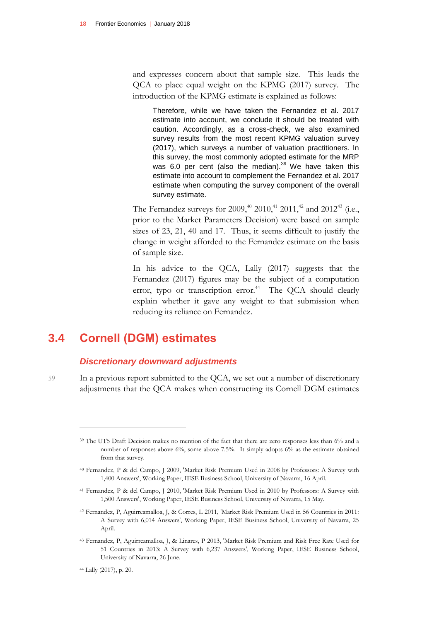and expresses concern about that sample size. This leads the QCA to place equal weight on the KPMG (2017) survey. The introduction of the KPMG estimate is explained as follows:

Therefore, while we have taken the Fernandez et al. 2017 estimate into account, we conclude it should be treated with caution. Accordingly, as a cross-check, we also examined survey results from the most recent KPMG valuation survey (2017), which surveys a number of valuation practitioners. In this survey, the most commonly adopted estimate for the MRP was 6.0 per cent (also the median). $39$  We have taken this estimate into account to complement the Fernandez et al. 2017 estimate when computing the survey component of the overall survey estimate.

The Fernandez surveys for 2009,<sup>40</sup> 2010,<sup>41</sup> 2011,<sup>42</sup> and 2012<sup>43</sup> (i.e., prior to the Market Parameters Decision) were based on sample sizes of 23, 21, 40 and 17. Thus, it seems difficult to justify the change in weight afforded to the Fernandez estimate on the basis of sample size.

In his advice to the QCA, Lally (2017) suggests that the Fernandez (2017) figures may be the subject of a computation error, typo or transcription error.<sup>44</sup> The QCA should clearly explain whether it gave any weight to that submission when reducing its reliance on Fernandez.

### <span id="page-19-0"></span>**3.4 Cornell (DGM) estimates**

### *Discretionary downward adjustments*

59 In a previous report submitted to the QCA, we set out a number of discretionary adjustments that the QCA makes when constructing its Cornell DGM estimates

<sup>44</sup> Lally (2017), p. 20.

<sup>39</sup> The UT5 Draft Decision makes no mention of the fact that there are zero responses less than 6% and a number of responses above 6%, some above 7.5%. It simply adopts 6% as the estimate obtained from that survey.

<sup>40</sup> Fernandez, P & del Campo, J 2009, 'Market Risk Premium Used in 2008 by Professors: A Survey with 1,400 Answers', Working Paper, IESE Business School, University of Navarra, 16 April.

<sup>41</sup> Fernandez, P & del Campo, J 2010, 'Market Risk Premium Used in 2010 by Professors: A Survey with 1,500 Answers', Working Paper, IESE Business School, University of Navarra, 15 May.

<sup>42</sup> Fernandez, P, Aguirreamalloa, J, & Corres, L 2011, 'Market Risk Premium Used in 56 Countries in 2011: A Survey with 6,014 Answers', Working Paper, IESE Business School, University of Navarra, 25 April.

<sup>43</sup> Fernandez, P, Aguirreamalloa, J, & Linares, P 2013, 'Market Risk Premium and Risk Free Rate Used for 51 Countries in 2013: A Survey with 6,237 Answers', Working Paper, IESE Business School, University of Navarra, 26 June.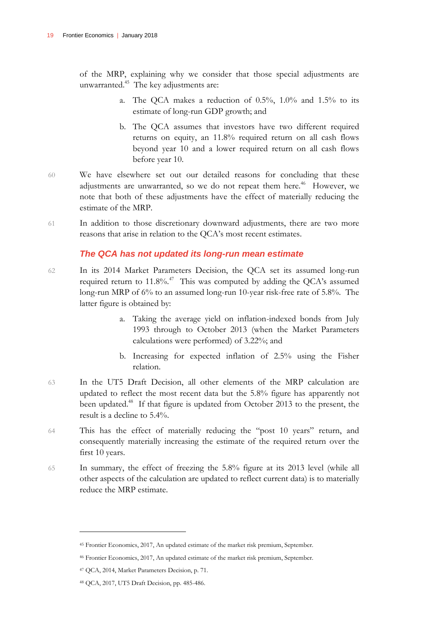of the MRP, explaining why we consider that those special adjustments are unwarranted.<sup>45</sup> The key adjustments are:

- a. The QCA makes a reduction of 0.5%, 1.0% and 1.5% to its estimate of long-run GDP growth; and
- b. The QCA assumes that investors have two different required returns on equity, an 11.8% required return on all cash flows beyond year 10 and a lower required return on all cash flows before year 10.
- 60 We have elsewhere set out our detailed reasons for concluding that these adjustments are unwarranted, so we do not repeat them here.<sup>46</sup> However, we note that both of these adjustments have the effect of materially reducing the estimate of the MRP.
- 61 In addition to those discretionary downward adjustments, there are two more reasons that arise in relation to the QCA's most recent estimates.

### *The QCA has not updated its long-run mean estimate*

- 62 In its 2014 Market Parameters Decision, the QCA set its assumed long-run required return to  $11.8\%$ .<sup>47</sup> This was computed by adding the QCA's assumed long-run MRP of 6% to an assumed long-run 10-year risk-free rate of 5.8%. The latter figure is obtained by:
	- a. Taking the average yield on inflation-indexed bonds from July 1993 through to October 2013 (when the Market Parameters calculations were performed) of 3.22%; and
	- b. Increasing for expected inflation of 2.5% using the Fisher relation.
- 63 In the UT5 Draft Decision, all other elements of the MRP calculation are updated to reflect the most recent data but the 5.8% figure has apparently not been updated.<sup>48</sup> If that figure is updated from October 2013 to the present, the result is a decline to 5.4%.
- 64 This has the effect of materially reducing the "post 10 years" return, and consequently materially increasing the estimate of the required return over the first 10 years.
- 65 In summary, the effect of freezing the 5.8% figure at its 2013 level (while all other aspects of the calculation are updated to reflect current data) is to materially reduce the MRP estimate.

<sup>45</sup> Frontier Economics, 2017, An updated estimate of the market risk premium, September.

<sup>46</sup> Frontier Economics, 2017, An updated estimate of the market risk premium, September.

<sup>47</sup> QCA, 2014, Market Parameters Decision, p. 71.

<sup>48</sup> QCA, 2017, UT5 Draft Decision, pp. 485-486.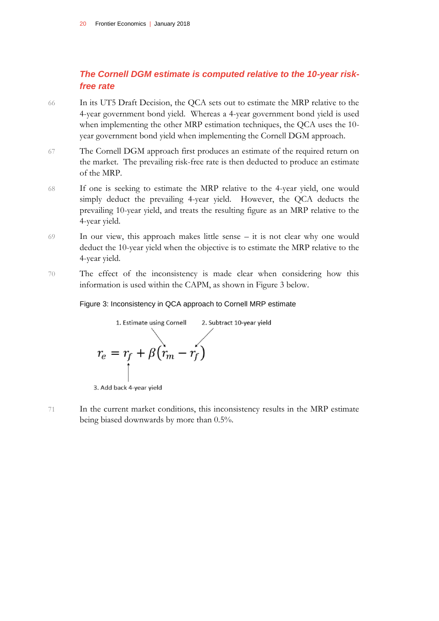### *The Cornell DGM estimate is computed relative to the 10-year riskfree rate*

- 66 In its UT5 Draft Decision, the QCA sets out to estimate the MRP relative to the 4-year government bond yield. Whereas a 4-year government bond yield is used when implementing the other MRP estimation techniques, the QCA uses the 10 year government bond yield when implementing the Cornell DGM approach.
- 67 The Cornell DGM approach first produces an estimate of the required return on the market. The prevailing risk-free rate is then deducted to produce an estimate of the MRP.
- 68 If one is seeking to estimate the MRP relative to the 4-year yield, one would simply deduct the prevailing 4-year yield. However, the QCA deducts the prevailing 10-year yield, and treats the resulting figure as an MRP relative to the 4-year yield.
- 69 In our view, this approach makes little sense it is not clear why one would deduct the 10-year yield when the objective is to estimate the MRP relative to the 4-year yield.
- 70 The effect of the inconsistency is made clear when considering how this information is used within the CAPM, as shown in Figure 3 below.

#### Figure 3: Inconsistency in QCA approach to Cornell MRP estimate



71 In the current market conditions, this inconsistency results in the MRP estimate being biased downwards by more than 0.5%.